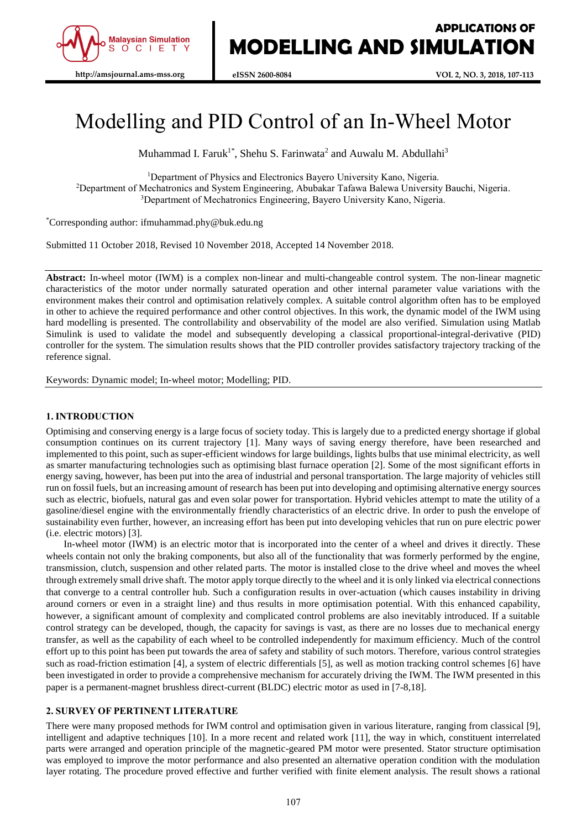

# Modelling and PID Control of an In-Wheel Motor

Muhammad I. Faruk<sup>1\*</sup>, Shehu S. Farinwata<sup>2</sup> and Auwalu M. Abdullahi<sup>3</sup>

<sup>1</sup>Department of Physics and Electronics Bayero University Kano, Nigeria.

<sup>2</sup>Department of Mechatronics and System Engineering, Abubakar Tafawa Balewa University Bauchi, Nigeria. <sup>3</sup>Department of Mechatronics Engineering, Bayero University Kano, Nigeria.

\*Corresponding author: ifmuhammad.phy@buk.edu.ng

Submitted 11 October 2018, Revised 10 November 2018, Accepted 14 November 2018.

**Abstract:** In-wheel motor (IWM) is a complex non-linear and multi-changeable control system. The non-linear magnetic characteristics of the motor under normally saturated operation and other internal parameter value variations with the environment makes their control and optimisation relatively complex. A suitable control algorithm often has to be employed in other to achieve the required performance and other control objectives. In this work, the dynamic model of the IWM using hard modelling is presented. The controllability and observability of the model are also verified. Simulation using Matlab Simulink is used to validate the model and subsequently developing a classical proportional-integral-derivative (PID) controller for the system. The simulation results shows that the PID controller provides satisfactory trajectory tracking of the reference signal.

Keywords: Dynamic model; In-wheel motor; Modelling; PID.

## **1. INTRODUCTION**

Optimising and conserving energy is a large focus of society today. This is largely due to a predicted energy shortage if global consumption continues on its current trajectory [1]. Many ways of saving energy therefore, have been researched and implemented to this point, such as super-efficient windows for large buildings, lights bulbs that use minimal electricity, as well as smarter manufacturing technologies such as optimising blast furnace operation [2]. Some of the most significant efforts in energy saving, however, has been put into the area of industrial and personal transportation. The large majority of vehicles still run on fossil fuels, but an increasing amount of research has been put into developing and optimising alternative energy sources such as electric, biofuels, natural gas and even solar power for transportation. Hybrid vehicles attempt to mate the utility of a gasoline/diesel engine with the environmentally friendly characteristics of an electric drive. In order to push the envelope of sustainability even further, however, an increasing effort has been put into developing vehicles that run on pure electric power (i.e. electric motors) [3].

In-wheel motor (IWM) is an electric motor that is incorporated into the center of a wheel and drives it directly. These wheels contain not only the braking components, but also all of the functionality that was formerly performed by the engine, transmission, clutch, suspension and other related parts. The motor is installed close to the drive wheel and moves the wheel through extremely small drive shaft. The motor apply torque directly to the wheel and it is only linked via electrical connections that converge to a central controller hub. Such a configuration results in over-actuation (which causes instability in driving around corners or even in a straight line) and thus results in more optimisation potential. With this enhanced capability, however, a significant amount of complexity and complicated control problems are also inevitably introduced. If a suitable control strategy can be developed, though, the capacity for savings is vast, as there are no losses due to mechanical energy transfer, as well as the capability of each wheel to be controlled independently for maximum efficiency. Much of the control effort up to this point has been put towards the area of safety and stability of such motors. Therefore, various control strategies such as road-friction estimation [4], a system of electric differentials [5], as well as motion tracking control schemes [6] have been investigated in order to provide a comprehensive mechanism for accurately driving the IWM. The IWM presented in this paper is a permanent-magnet brushless direct-current (BLDC) electric motor as used in [7-8,18].

## **2. SURVEY OF PERTINENT LITERATURE**

There were many proposed methods for IWM control and optimisation given in various literature, ranging from classical [9], intelligent and adaptive techniques [10]. In a more recent and related work [11], the way in which, constituent interrelated parts were arranged and operation principle of the magnetic-geared PM motor were presented. Stator structure optimisation was employed to improve the motor performance and also presented an alternative operation condition with the modulation layer rotating. The procedure proved effective and further verified with finite element analysis. The result shows a rational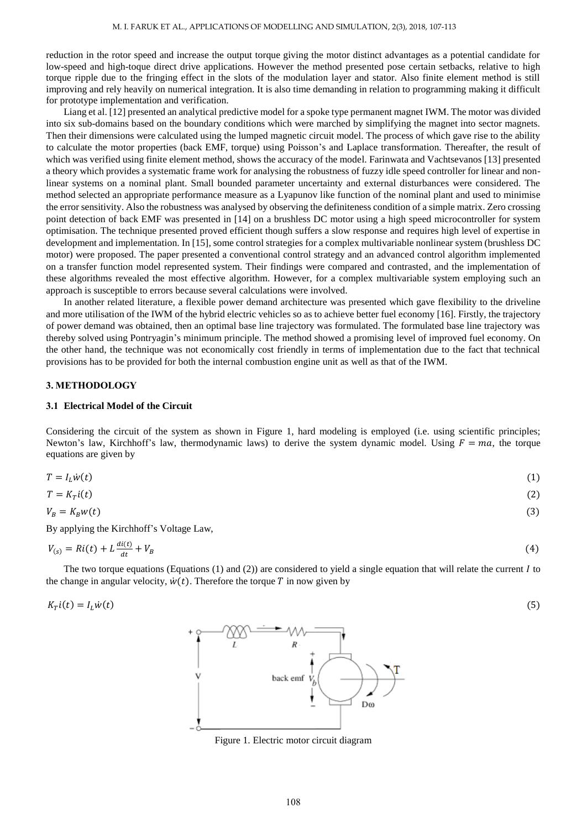reduction in the rotor speed and increase the output torque giving the motor distinct advantages as a potential candidate for low-speed and high-toque direct drive applications. However the method presented pose certain setbacks, relative to high torque ripple due to the fringing effect in the slots of the modulation layer and stator. Also finite element method is still improving and rely heavily on numerical integration. It is also time demanding in relation to programming making it difficult for prototype implementation and verification.

Liang et al. [12] presented an analytical predictive model for a spoke type permanent magnet IWM. The motor was divided into six sub-domains based on the boundary conditions which were marched by simplifying the magnet into sector magnets. Then their dimensions were calculated using the lumped magnetic circuit model. The process of which gave rise to the ability to calculate the motor properties (back EMF, torque) using Poisson's and Laplace transformation. Thereafter, the result of which was verified using finite element method, shows the accuracy of the model. Farinwata and Vachtsevanos [13] presented a theory which provides a systematic frame work for analysing the robustness of fuzzy idle speed controller for linear and nonlinear systems on a nominal plant. Small bounded parameter uncertainty and external disturbances were considered. The method selected an appropriate performance measure as a Lyapunov like function of the nominal plant and used to minimise the error sensitivity. Also the robustness was analysed by observing the definiteness condition of a simple matrix. Zero crossing point detection of back EMF was presented in [14] on a brushless DC motor using a high speed microcontroller for system optimisation. The technique presented proved efficient though suffers a slow response and requires high level of expertise in development and implementation. In [15], some control strategies for a complex multivariable nonlinear system (brushless DC motor) were proposed. The paper presented a conventional control strategy and an advanced control algorithm implemented on a transfer function model represented system. Their findings were compared and contrasted, and the implementation of these algorithms revealed the most effective algorithm. However, for a complex multivariable system employing such an approach is susceptible to errors because several calculations were involved.

In another related literature, a flexible power demand architecture was presented which gave flexibility to the driveline and more utilisation of the IWM of the hybrid electric vehicles so as to achieve better fuel economy [16]. Firstly, the trajectory of power demand was obtained, then an optimal base line trajectory was formulated. The formulated base line trajectory was thereby solved using Pontryagin's minimum principle. The method showed a promising level of improved fuel economy. On the other hand, the technique was not economically cost friendly in terms of implementation due to the fact that technical provisions has to be provided for both the internal combustion engine unit as well as that of the IWM.

## **3. METHODOLOGY**

#### **3.1 Electrical Model of the Circuit**

Considering the circuit of the system as shown in Figure 1, hard modeling is employed (i.e. using scientific principles; Newton's law, Kirchhoff's law, thermodynamic laws) to derive the system dynamic model. Using  $F = ma$ , the torque equations are given by

$$
T = I_L \dot{w}(t) \tag{1}
$$

$$
T = K_T i(t) \tag{2}
$$

$$
V_B = K_B w(t) \tag{3}
$$

By applying the Kirchhoff's Voltage Law,

$$
V_{(s)} = Ri(t) + L\frac{di(t)}{dt} + V_B
$$
\n<sup>(4)</sup>

The two torque equations (Equations (1) and (2)) are considered to yield a single equation that will relate the current  $I$  to the change in angular velocity,  $\dot{w}(t)$ . Therefore the torque T in now given by

$$
K_T i(t) = I_L \dot{w}(t) \tag{5}
$$



Figure 1. Electric motor circuit diagram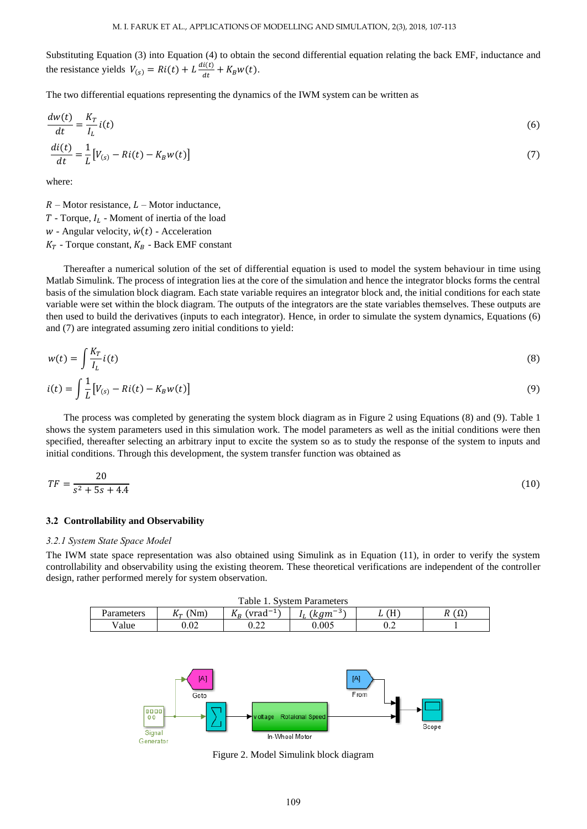Substituting Equation (3) into Equation (4) to obtain the second differential equation relating the back EMF, inductance and the resistance yields  $V_{(s)} = Ri(t) + L \frac{di(t)}{dt}$  $\frac{d(t)}{dt} + K_B w(t).$ 

The two differential equations representing the dynamics of the IWM system can be written as

$$
\frac{dw(t)}{dt} = \frac{K_T}{I_L} i(t)
$$
\n
$$
\frac{di(t)}{dt} = \frac{1}{L} [V_{(s)} - Ri(t) - K_B w(t)]
$$
\n(7)

where:

 $R$  – Motor resistance,  $L$  – Motor inductance,

 $T$  - Torque,  $I_L$  - Moment of inertia of the load

 $w$  - Angular velocity,  $\dot{w}(t)$  - Acceleration

 $K_T$  - Torque constant,  $K_B$  - Back EMF constant

Thereafter a numerical solution of the set of differential equation is used to model the system behaviour in time using Matlab Simulink. The process of integration lies at the core of the simulation and hence the integrator blocks forms the central basis of the simulation block diagram. Each state variable requires an integrator block and, the initial conditions for each state variable were set within the block diagram. The outputs of the integrators are the state variables themselves. These outputs are then used to build the derivatives (inputs to each integrator). Hence, in order to simulate the system dynamics, Equations (6) and (7) are integrated assuming zero initial conditions to yield:

$$
w(t) = \int \frac{K_T}{I_L} i(t)
$$
  
\n
$$
i(t) = \int \frac{1}{L} [V_{(s)} - Ri(t) - K_B w(t)]
$$
\n(9)

The process was completed by generating the system block diagram as in Figure 2 using Equations (8) and (9). Table 1 shows the system parameters used in this simulation work. The model parameters as well as the initial conditions were then specified, thereafter selecting an arbitrary input to excite the system so as to study the response of the system to inputs and initial conditions. Through this development, the system transfer function was obtained as

$$
TF = \frac{20}{s^2 + 5s + 4.4} \tag{10}
$$

#### **3.2 Controllability and Observability**

#### *3.2.1 System State Space Model*

The IWM state space representation was also obtained using Simulink as in Equation (11), in order to verify the system controllability and observability using the existing theorem. These theoretical verifications are independent of the controller design, rather performed merely for system observation.

| Table 1.<br><b>System Parameters</b> |               |                                        |            |           |    |  |
|--------------------------------------|---------------|----------------------------------------|------------|-----------|----|--|
| Parameters                           | $N_{m}$<br>Λπ | $1 -$<br><b>T</b><br>'vrad<br><b>.</b> | -5<br>k am | Ή.<br>-11 | 77 |  |
| Value                                | 0.02          | ר ב<br>0.ZZ                            | $0.005\,$  | ∪.∠       |    |  |



Figure 2. Model Simulink block diagram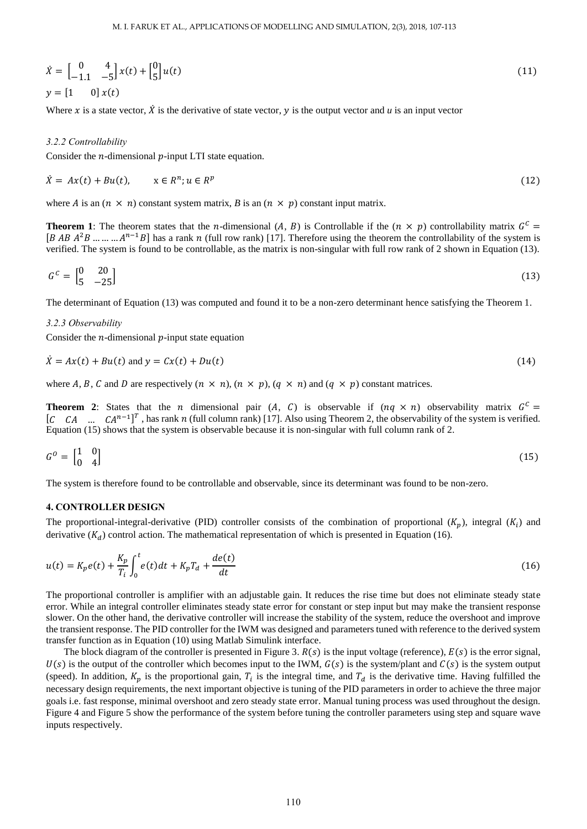$$
\dot{\mathbf{X}} = \begin{bmatrix} 0 & 4 \\ -1.1 & -5 \end{bmatrix} \mathbf{x}(t) + \begin{bmatrix} 0 \\ 5 \end{bmatrix} u(t) \n\mathbf{y} = \begin{bmatrix} 1 & 0 \end{bmatrix} \mathbf{x}(t)
$$
\n(11)

Where x is a state vector,  $\dot{X}$  is the derivative of state vector,  $\dot{y}$  is the output vector and  $\dot{u}$  is an input vector

#### *3.2.2 Controllability*

Consider the  $n$ -dimensional  $p$ -input LTI state equation.

$$
\dot{X} = Ax(t) + Bu(t), \qquad x \in R^n; u \in R^p \tag{12}
$$

where *A* is an  $(n \times n)$  constant system matrix, *B* is an  $(n \times p)$  constant input matrix.

**Theorem 1**: The theorem states that the *n*-dimensional  $(A, B)$  is Controllable if the  $(n \times p)$  controllability matrix  $G<sup>C</sup>$ [B AB  $A^2B$  ... ... ...  $A^{n-1}B$ ] has a rank n (full row rank) [17]. Therefore using the theorem the controllability of the system is verified. The system is found to be controllable, as the matrix is non-singular with full row rank of 2 shown in Equation (13).

$$
Gc = \begin{bmatrix} 0 & 20 \\ 5 & -25 \end{bmatrix} \tag{13}
$$

The determinant of Equation (13) was computed and found it to be a non-zero determinant hence satisfying the Theorem 1.

#### *3.2.3 Observability*

Consider the  $n$ -dimensional  $p$ -input state equation

$$
\dot{X} = Ax(t) + Bu(t) \text{ and } y = Cx(t) + Du(t) \tag{14}
$$

where A, B, C and D are respectively  $(n \times n)$ ,  $(n \times p)$ ,  $(q \times n)$  and  $(q \times p)$  constant matrices.

**Theorem 2:** States that the *n* dimensional pair  $(A, C)$  is observable if  $(nq \times n)$  observability matrix  $G<sup>C</sup>$ [C CA ...  $CA^{n-1}$ ]<sup>T</sup>, has rank n (full column rank) [17]. Also using Theorem 2, the observability of the system is verified. Equation (15) shows that the system is observable because it is non-singular with full column rank of 2.

$$
G^0 = \begin{bmatrix} 1 & 0 \\ 0 & 4 \end{bmatrix} \tag{15}
$$

The system is therefore found to be controllable and observable, since its determinant was found to be non-zero.

# **4. CONTROLLER DESIGN**

The proportional-integral-derivative (PID) controller consists of the combination of proportional  $(K_p)$ , integral  $(K_i)$  and derivative  $(K_d)$  control action. The mathematical representation of which is presented in Equation (16).

$$
u(t) = K_p e(t) + \frac{K_p}{T_i} \int_0^t e(t)dt + K_p T_d + \frac{de(t)}{dt}
$$
\n(16)

The proportional controller is amplifier with an adjustable gain. It reduces the rise time but does not eliminate steady state error. While an integral controller eliminates steady state error for constant or step input but may make the transient response slower. On the other hand, the derivative controller will increase the stability of the system, reduce the overshoot and improve the transient response. The PID controller for the IWM was designed and parameters tuned with reference to the derived system transfer function as in Equation (10) using Matlab Simulink interface.

The block diagram of the controller is presented in Figure 3.  $R(s)$  is the input voltage (reference),  $E(s)$  is the error signal,  $U(s)$  is the output of the controller which becomes input to the IWM,  $G(s)$  is the system/plant and  $C(s)$  is the system output (speed). In addition,  $K_p$  is the proportional gain,  $T_i$  is the integral time, and  $T_d$  is the derivative time. Having fulfilled the necessary design requirements, the next important objective is tuning of the PID parameters in order to achieve the three major goals i.e. fast response, minimal overshoot and zero steady state error. Manual tuning process was used throughout the design. Figure 4 and Figure 5 show the performance of the system before tuning the controller parameters using step and square wave inputs respectively.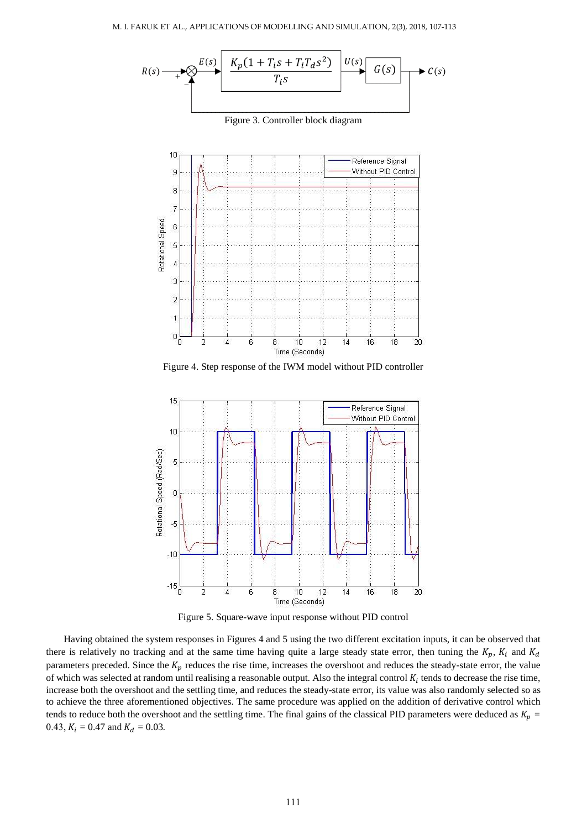

Figure 3. Controller block diagram



Figure 4. Step response of the IWM model without PID controller



Figure 5. Square-wave input response without PID control

Having obtained the system responses in Figures 4 and 5 using the two different excitation inputs, it can be observed that there is relatively no tracking and at the same time having quite a large steady state error, then tuning the  $K_p$ ,  $K_i$  and  $K_d$ parameters preceded. Since the  $K_p$  reduces the rise time, increases the overshoot and reduces the steady-state error, the value of which was selected at random until realising a reasonable output. Also the integral control  $K_i$  tends to decrease the rise time, increase both the overshoot and the settling time, and reduces the steady-state error, its value was also randomly selected so as to achieve the three aforementioned objectives. The same procedure was applied on the addition of derivative control which tends to reduce both the overshoot and the settling time. The final gains of the classical PID parameters were deduced as  $K_p =$ 0.43,  $K_i = 0.47$  and  $K_d = 0.03$ .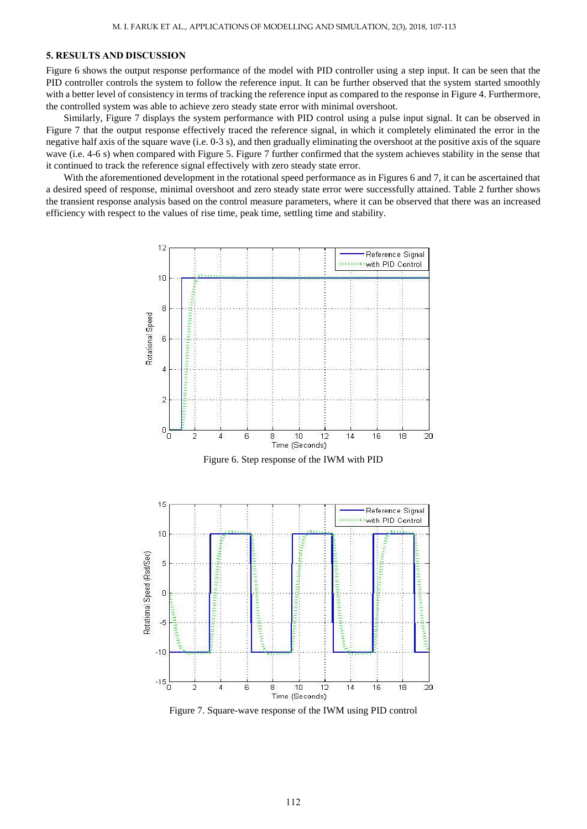## **5. RESULTS AND DISCUSSION**

Figure 6 shows the output response performance of the model with PID controller using a step input. It can be seen that the PID controller controls the system to follow the reference input. It can be further observed that the system started smoothly with a better level of consistency in terms of tracking the reference input as compared to the response in Figure 4. Furthermore, the controlled system was able to achieve zero steady state error with minimal overshoot.

Similarly, Figure 7 displays the system performance with PID control using a pulse input signal. It can be observed in Figure 7 that the output response effectively traced the reference signal, in which it completely eliminated the error in the negative half axis of the square wave (i.e. 0-3 s), and then gradually eliminating the overshoot at the positive axis of the square wave (i.e. 4-6 s) when compared with Figure 5. Figure 7 further confirmed that the system achieves stability in the sense that it continued to track the reference signal effectively with zero steady state error.

With the aforementioned development in the rotational speed performance as in Figures 6 and 7, it can be ascertained that a desired speed of response, minimal overshoot and zero steady state error were successfully attained. Table 2 further shows the transient response analysis based on the control measure parameters, where it can be observed that there was an increased efficiency with respect to the values of rise time, peak time, settling time and stability.



Figure 7. Square-wave response of the IWM using PID control